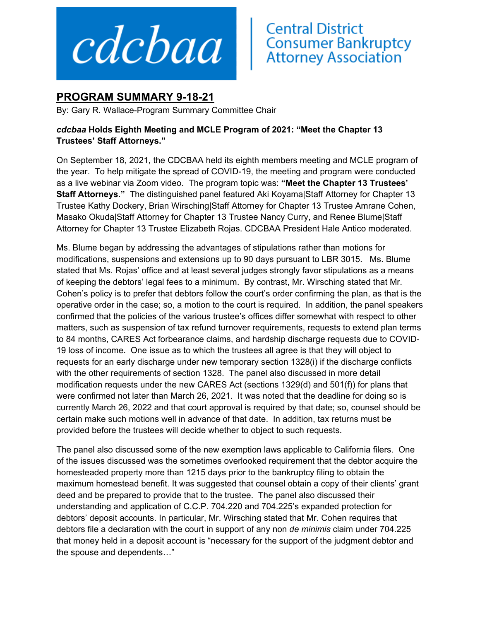

## **Central District<br>Consumer Bankruptcy<br>Attorney Association**

## **PROGRAM SUMMARY 9-18-21**

By: Gary R. Wallace-Program Summary Committee Chair

## *cdcbaa* **Holds Eighth Meeting and MCLE Program of 2021: "Meet the Chapter 13 Trustees' Staff Attorneys."**

On September 18, 2021, the CDCBAA held its eighth members meeting and MCLE program of the year. To help mitigate the spread of COVID-19, the meeting and program were conducted as a live webinar via Zoom video. The program topic was: **"Meet the Chapter 13 Trustees' Staff Attorneys."** The distinguished panel featured Aki Koyama|Staff Attorney for Chapter 13 Trustee Kathy Dockery, Brian Wirsching|Staff Attorney for Chapter 13 Trustee Amrane Cohen, Masako Okuda|Staff Attorney for Chapter 13 Trustee Nancy Curry, and Renee Blume|Staff Attorney for Chapter 13 Trustee Elizabeth Rojas. CDCBAA President Hale Antico moderated.

Ms. Blume began by addressing the advantages of stipulations rather than motions for modifications, suspensions and extensions up to 90 days pursuant to LBR 3015. Ms. Blume stated that Ms. Rojas' office and at least several judges strongly favor stipulations as a means of keeping the debtors' legal fees to a minimum. By contrast, Mr. Wirsching stated that Mr. Cohen's policy is to prefer that debtors follow the court's order confirming the plan, as that is the operative order in the case; so, a motion to the court is required. In addition, the panel speakers confirmed that the policies of the various trustee's offices differ somewhat with respect to other matters, such as suspension of tax refund turnover requirements, requests to extend plan terms to 84 months, CARES Act forbearance claims, and hardship discharge requests due to COVID-19 loss of income. One issue as to which the trustees all agree is that they will object to requests for an early discharge under new temporary section 1328(i) if the discharge conflicts with the other requirements of section 1328. The panel also discussed in more detail modification requests under the new CARES Act (sections 1329(d) and 501(f)) for plans that were confirmed not later than March 26, 2021. It was noted that the deadline for doing so is currently March 26, 2022 and that court approval is required by that date; so, counsel should be certain make such motions well in advance of that date. In addition, tax returns must be provided before the trustees will decide whether to object to such requests.

The panel also discussed some of the new exemption laws applicable to California filers. One of the issues discussed was the sometimes overlooked requirement that the debtor acquire the homesteaded property more than 1215 days prior to the bankruptcy filing to obtain the maximum homestead benefit. It was suggested that counsel obtain a copy of their clients' grant deed and be prepared to provide that to the trustee. The panel also discussed their understanding and application of C.C.P. 704.220 and 704.225's expanded protection for debtors' deposit accounts. In particular, Mr. Wirsching stated that Mr. Cohen requires that debtors file a declaration with the court in support of any non *de minimis* claim under 704.225 that money held in a deposit account is "necessary for the support of the judgment debtor and the spouse and dependents…"